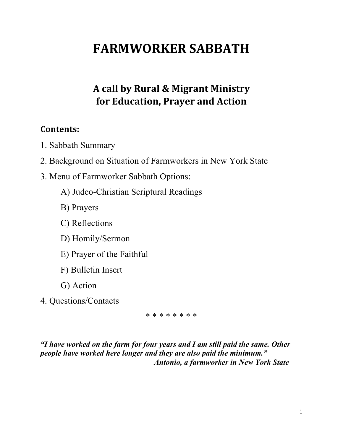# **FARMWORKER SABBATH**

## **A call by Rural & Migrant Ministry for Education, Prayer and Action**

### **Contents:**

- 1. Sabbath Summary
- 2. Background on Situation of Farmworkers in New York State
- 3. Menu of Farmworker Sabbath Options:
	- A) Judeo-Christian Scriptural Readings
	- B) Prayers
	- C) Reflections
	- D) Homily/Sermon
	- E) Prayer of the Faithful
	- F) Bulletin Insert
	- G) Action
- 4. Questions/Contacts

\* \* \* \* \* \* \* \*

*"I have worked on the farm for four years and I am still paid the same. Other people have worked here longer and they are also paid the minimum." Antonio, a farmworker in New York State*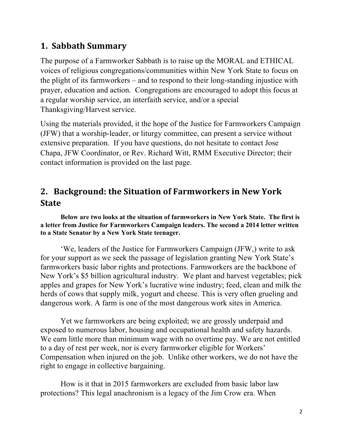## **1. Sabbath Summary**

The purpose of a Farmworker Sabbath is to raise up the MORAL and ETHICAL voices of religious congregations/communities within New York State to focus on the plight of its farmworkers – and to respond to their long-standing injustice with prayer, education and action. Congregations are encouraged to adopt this focus at a regular worship service, an interfaith service, and/or a special Thanksgiving/Harvest service.

Using the materials provided, it the hope of the Justice for Farmworkers Campaign (JFW) that a worship-leader, or liturgy committee, can present a service without extensive preparation. If you have questions, do not hesitate to contact Jose Chapa, JFW Coordinator, or Rev. Richard Witt, RMM Executive Director; their contact information is provided on the last page.

## 2. Background: the Situation of Farmworkers in New York **State**

**Below are two looks at the situation of farmworkers in New York State. The first is a letter from Justice for Farmworkers Campaign leaders. The second a 2014 letter written to a State Senator by a New York State teenager.**

'We, leaders of the Justice for Farmworkers Campaign (JFW,) write to ask for your support as we seek the passage of legislation granting New York State's farmworkers basic labor rights and protections. Farmworkers are the backbone of New York's \$5 billion agricultural industry. We plant and harvest vegetables; pick apples and grapes for New York's lucrative wine industry; feed, clean and milk the herds of cows that supply milk, yogurt and cheese. This is very often grueling and dangerous work. A farm is one of the most dangerous work sites in America.

Yet we farmworkers are being exploited; we are grossly underpaid and exposed to numerous labor, housing and occupational health and safety hazards. We earn little more than minimum wage with no overtime pay. We are not entitled to a day of rest per week, nor is every farmworker eligible for Workers' Compensation when injured on the job. Unlike other workers, we do not have the right to engage in collective bargaining.

How is it that in 2015 farmworkers are excluded from basic labor law protections? This legal anachronism is a legacy of the Jim Crow era. When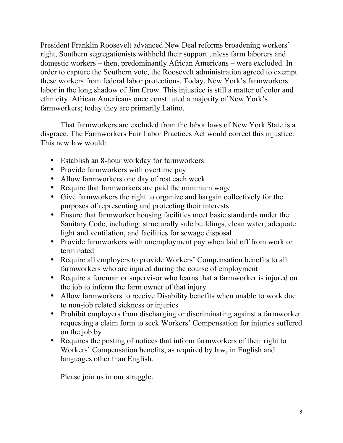President Franklin Roosevelt advanced New Deal reforms broadening workers' right, Southern segregationists withheld their support unless farm laborers and domestic workers – then, predominantly African Americans – were excluded. In order to capture the Southern vote, the Roosevelt administration agreed to exempt these workers from federal labor protections. Today, New York's farmworkers labor in the long shadow of Jim Crow. This injustice is still a matter of color and ethnicity. African Americans once constituted a majority of New York's farmworkers; today they are primarily Latino.

That farmworkers are excluded from the labor laws of New York State is a disgrace. The Farmworkers Fair Labor Practices Act would correct this injustice. This new law would:

- Establish an 8-hour workday for farmworkers
- Provide farmworkers with overtime pay
- Allow farmworkers one day of rest each week
- Require that farmworkers are paid the minimum wage
- Give farmworkers the right to organize and bargain collectively for the purposes of representing and protecting their interests
- Ensure that farmworker housing facilities meet basic standards under the Sanitary Code, including: structurally safe buildings, clean water, adequate light and ventilation, and facilities for sewage disposal
- Provide farmworkers with unemployment pay when laid off from work or terminated
- Require all employers to provide Workers' Compensation benefits to all farmworkers who are injured during the course of employment
- Require a foreman or supervisor who learns that a farmworker is injured on the job to inform the farm owner of that injury
- Allow farmworkers to receive Disability benefits when unable to work due to non-job related sickness or injuries
- Prohibit employers from discharging or discriminating against a farmworker requesting a claim form to seek Workers' Compensation for injuries suffered on the job by
- Requires the posting of notices that inform farmworkers of their right to Workers' Compensation benefits, as required by law, in English and languages other than English.

Please join us in our struggle.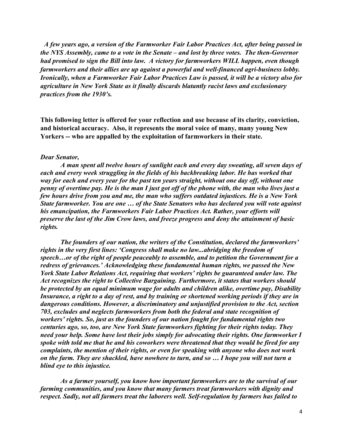*A few years ago, a version of the Farmworker Fair Labor Practices Act, after being passed in the NYS Assembly, came to a vote in the Senate – and lost by three votes. The then-Governor had promised to sign the Bill into law. A victory for farmworkers WILL happen, even though farmworkers and their allies are up against a powerful and well-financed agri-business lobby. Ironically, when a Farmworker Fair Labor Practices Law is passed, it will be a victory also for agriculture in New York State as it finally discards blatantly racist laws and exclusionary practices from the 1930's.*

**This following letter is offered for your reflection and use because of its clarity, conviction, and historical accuracy. Also, it represents the moral voice of many, many young New Yorkers -- who are appalled by the exploitation of farmworkers in their state.**

#### *Dear Senator,*

*A man spent all twelve hours of sunlight each and every day sweating, all seven days of each and every week struggling in the fields of his backbreaking labor. He has worked that way for each and every year for the past ten years straight, without one day off, without one penny of overtime pay. He is the man I just got off of the phone with, the man who lives just a few hours drive from you and me, the man who suffers outdated injustices. He is a New York State farmworker. You are one … of the State Senators who has declared you will vote against his emancipation, the Farmworkers Fair Labor Practices Act. Rather, your efforts will preserve the last of the Jim Crow laws, and freeze progress and deny the attainment of basic rights.*

*The founders of our nation, the writers of the Constitution, declared the farmworkers' rights in the very first lines: 'Congress shall make no law...abridging the freedom of speech…or of the right of people peaceably to assemble, and to petition the Government for a redress of grievances.' Acknowledging these fundamental human rights, we passed the New York State Labor Relations Act, requiring that workers' rights be guaranteed under law. The Act recognizes the right to Collective Bargaining. Furthermore, it states that workers should be protected by an equal minimum wage for adults and children alike, overtime pay, Disability Insurance, a right to a day of rest, and by training or shortened working periods if they are in dangerous conditions. However, a discriminatory and unjustified provision to the Act, section 703, excludes and neglects farmworkers from both the federal and state recognition of workers' rights. So, just as the founders of our nation fought for fundamental rights two centuries ago, so, too, are New York State farmworkers fighting for their rights today. They need your help. Some have lost their jobs simply for advocating their rights. One farmworker I spoke with told me that he and his coworkers were threatened that they would be fired for any complaints, the mention of their rights, or even for speaking with anyone who does not work on the farm. They are shackled, have nowhere to turn, and so … I hope you will not turn a blind eye to this injustice.*

*As a farmer yourself, you know how important farmworkers are to the survival of our farming communities, and you know that many farmers treat farmworkers with dignity and respect. Sadly, not all farmers treat the laborers well. Self-regulation by farmers has failed to*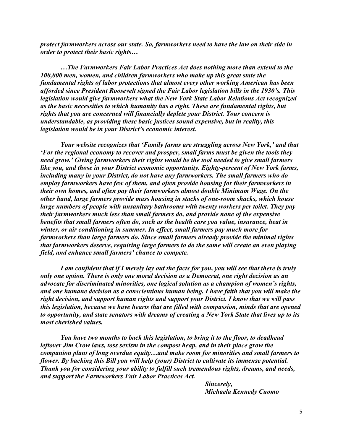*protect farmworkers across our state. So, farmworkers need to have the law on their side in order to protect their basic rights…*

*…The Farmworkers Fair Labor Practices Act does nothing more than extend to the 100,000 men, women, and children farmworkers who make up this great state the fundamental rights of labor protections that almost every other working American has been afforded since President Roosevelt signed the Fair Labor legislation bills in the 1930's. This legislation would give farmworkers what the New York State Labor Relations Act recognized as the basic necessities to which humanity has a right. These are fundamental rights, but rights that you are concerned will financially deplete your District. Your concern is understandable, as providing these basic justices sound expensive, but in reality, this legislation would be in your District's economic interest.*

*Your website recognizes that 'Family farms are struggling across New York,' and that 'For the regional economy to recover and prosper, small farms must be given the tools they need grow.' Giving farmworkers their rights would be the tool needed to give small farmers like you, and those in your District economic opportunity. Eighty-percent of New York farms, including many in your District, do not have any farmworkers. The small farmers who do employ farmworkers have few of them, and often provide housing for their farmworkers in their own homes, and often pay their farmworkers almost double Minimum Wage. On the other hand, large farmers provide mass housing in stacks of one-room shacks, which house large numbers of people with unsanitary bathrooms with twenty workers per toilet. They pay their farmworkers much less than small farmers do, and provide none of the expensive benefits that small farmers often do, such as the health care you value, insurance, heat in winter, or air conditioning in summer. In effect, small farmers pay much more for farmworkers than large farmers do. Since small farmers already provide the minimal rights that farmworkers deserve, requiring large farmers to do the same will create an even playing field, and enhance small farmers' chance to compete.*

*I am confident that if I merely lay out the facts for you, you will see that there is truly only one option. There is only one moral decision as a Democrat, one right decision as an advocate for discriminated minorities, one logical solution as a champion of women's rights, and one humane decision as a conscientious human being. I have faith that you will make the right decision, and support human rights and support your District. I know that we will pass this legislation, because we have hearts that are filled with compassion, minds that are opened to opportunity, and state senators with dreams of creating a New York State that lives up to its most cherished values.*

*You have two months to back this legislation, to bring it to the floor, to deadhead leftover Jim Crow laws, toss sexism in the compost heap, and in their place grow the companion plant of long overdue equity…and make room for minorities and small farmers to flower. By backing this Bill you will help (your) District to cultivate its immense potential. Thank you for considering your ability to fulfill such tremendous rights, dreams, and needs, and support the Farmworkers Fair Labor Practices Act.*

> *Sincerely, Michaela Kennedy Cuomo*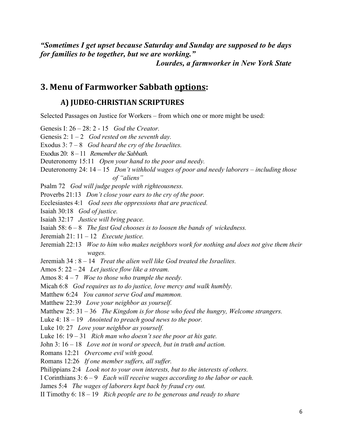*"Sometimes I get upset because Saturday and Sunday are supposed to be days for families to be together, but we are working." Lourdes, a farmworker in New York State*

### **3. Menu of Farmworker Sabbath options:**

#### **A) JUDEO-CHRISTIAN SCRIPTURES**

Selected Passages on Justice for Workers – from which one or more might be used:

Genesis I: 26 – 28: 2 - 15 *God the Creator.* Genesis 2: 1 – 2 *God rested on the seventh day.* Exodus 3: 7 – 8 *God heard the cry of the Israelites.* Exodus 20: 8 – 11 *Remember the Sabbath.* Deuteronomy 15:11 *Open your hand to the poor and needy.* Deuteronomy 24: 14 – 15 *Don't withhold wages of poor and needy laborers – including those of "aliens"* Psalm 72 *God will judge people with righteousness.* Proverbs 21:13 *Don't close your ears to the cry of the poor.* Ecclesiastes 4:1 *God sees the oppressions that are practiced.* Isaiah 30:18 *God of justice.* Isaiah 32:17 *Justice will bring peace.* Isaiah 58: 6 – 8 *The fast God chooses is to loosen the bands of wickedness.* Jeremiah 21: 11 – 12 *Execute justice.* Jeremiah 22:13 *Woe to him who makes neighbors work for nothing and does not give them their wages.* Jeremiah 34 : 8 – 14 *Treat the alien well like God treated the Israelites.* Amos 5: 22 – 24 *Let justice flow like a stream.* Amos 8: 4 – 7 *Woe to those who trample the needy.* Micah 6:8 *God requires us to do justice, love mercy and walk humbly.* Matthew 6:24 *You cannot serve God and mammon.* Matthew 22:39 *Love your neighbor as yourself.* Matthew 25: 31 – 36 *The Kingdom is for those who feed the hungry, Welcome strangers.* Luke 4: 18 – 19 *Anointed to preach good news to the poor.* Luke 10: 27 *Love your neighbor as yourself.* Luke 16: 19 – 31 *Rich man who doesn't see the poor at his gate.* John 3: 16 – 18 *Love not in word or speech, but in truth and action.* Romans 12:21 *Overcome evil with good.* Romans 12:26 *If one member suffers, all suffer.* Philippians 2:4 *Look not to your own interests, but to the interests of others.* I Corinthians 3: 6 – 9 *Each will receive wages according to the labor or each.* James 5:4 *The wages of laborers kept back by fraud cry out.* II Timothy 6: 18 – 19 *Rich people are to be generous and ready to share*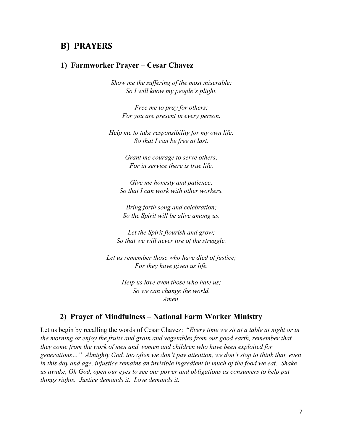#### **B) PRAYERS**

#### **1) Farmworker Prayer – Cesar Chavez**

*Show me the suffering of the most miserable; So I will know my people's plight.*

*Free me to pray for others; For you are present in every person.*

*Help me to take responsibility for my own life; So that I can be free at last.*

> *Grant me courage to serve others; For in service there is true life.*

*Give me honesty and patience; So that I can work with other workers.*

*Bring forth song and celebration; So the Spirit will be alive among us.*

*Let the Spirit flourish and grow; So that we will never tire of the struggle.*

*Let us remember those who have died of justice; For they have given us life.*

> *Help us love even those who hate us; So we can change the world. Amen.*

#### **2) Prayer of Mindfulness – National Farm Worker Ministry**

Let us begin by recalling the words of Cesar Chavez: "*Every time we sit at a table at night or in the morning or enjoy the fruits and grain and vegetables from our good earth, remember that they come from the work of men and women and children who have been exploited for generations…" Almighty God, too often we don't pay attention, we don't stop to think that, even in this day and age, injustice remains an invisible ingredient in much of the food we eat. Shake us awake, Oh God, open our eyes to see our power and obligations as consumers to help put things rights. Justice demands it. Love demands it.*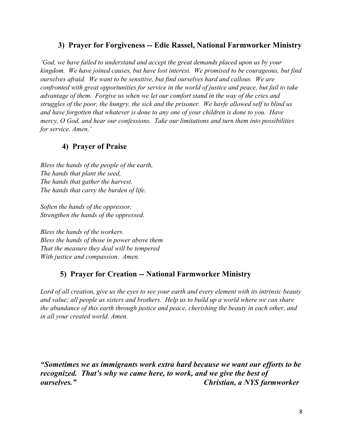#### **3) Prayer for Forgiveness -- Edie Rassel, National Farmworker Ministry**

*'God, we have failed to understand and accept the great demands placed upon us by your kingdom. We have joined causes, but have lost interest. We promised to be courageous, but find ourselves afraid. We want to be sensitive, but find ourselves hard and callous. We are confronted with great opportunities for service in the world of justice and peace, but fail to take advantage of them. Forgive us when we let our comfort stand in the way of the cries and struggles of the poor, the hungry, the sick and the prisoner. We havfe allowed self to blind us and have forgotten that whatever is done to any one of your children is done to you. Have mercy, O God, and hear our confessions. Take our limitations and turn them into possibilities for service. Amen.'*

#### **4) Prayer of Praise**

*Bless the hands of the people of the earth, The hands that plant the seed, The hands that gather the harvest, The hands that carry the burden of life.*

*Soften the hands of the oppressor, Strengthen the hands of the oppressed.*

*Bless the hands of the workers. Bless the hands of those in power above them That the measure they deal will be tempered With justice and compassion. Amen.* 

#### **5) Prayer for Creation -- National Farmworker Ministry**

*Lord of all creation, give us the eyes to see your earth and every element with its intrinsic beauty and value; all people as sisters and brothers. Help us to build up a world where we can share the abundance of this earth through justice and peace, cherishing the beauty in each other, and in all your created world. Amen.*

*"Sometimes we as immigrants work extra hard because we want our efforts to be recognized. That's why we came here, to work, and we give the best of ourselves." Christian, a NYS farmworker*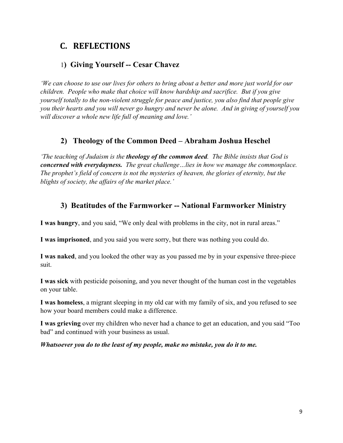## **C. REFLECTIONS**

#### 1**) Giving Yourself -- Cesar Chavez**

*'We can choose to use our lives for others to bring about a better and more just world for our children. People who make that choice will know hardship and sacrifice. But if you give yourself totally to the non-violent struggle for peace and justice, you also find that people give you their hearts and you will never go hungry and never be alone. And in giving of yourself you will discover a whole new life full of meaning and love.'*

#### **2) Theology of the Common Deed – Abraham Joshua Heschel**

*'The teaching of Judaism is the theology of the common deed. The Bible insists that God is concerned with everydayness. The great challenge…lies in how we manage the commonplace. The prophet's field of concern is not the mysteries of heaven, the glories of eternity, but the blights of society, the affairs of the market place.'*

#### **3) Beatitudes of the Farmworker -- National Farmworker Ministry**

**I was hungry**, and you said, "We only deal with problems in the city, not in rural areas."

**I was imprisoned**, and you said you were sorry, but there was nothing you could do.

**I was naked**, and you looked the other way as you passed me by in your expensive three-piece suit.

**I was sick** with pesticide poisoning, and you never thought of the human cost in the vegetables on your table.

**I was homeless**, a migrant sleeping in my old car with my family of six, and you refused to see how your board members could make a difference.

**I was grieving** over my children who never had a chance to get an education, and you said "Too bad" and continued with your business as usual.

*Whatsoever you do to the least of my people, make no mistake, you do it to me.*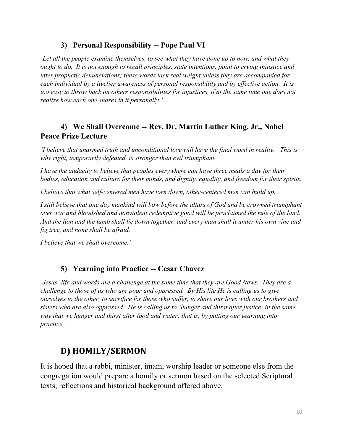#### **3) Personal Responsibility -- Pope Paul VI**

*'Let all the people examine themselves, to see what they have done up to now, and what they ought to do. It is not enough to recall principles, state intentions, point to crying injustice and utter prophetic denunciations; these words lack real weight unless they are accompanied for each individual by a livelier awareness of personal responsibility and by effective action. It is too easy to throw back on others responsibilities for injustices, if at the same time one does not realize how each one shares in it personally.'* 

#### **4) We Shall Overcome -- Rev. Dr. Martin Luther King, Jr., Nobel Peace Prize Lecture**

*'I believe that unarmed truth and unconditional love will have the final word in reality. This is why right, temporarily defeated, is stronger than evil triumphant.*

*I have the audacity to believe that peoples everywhere can have three meals a day for their bodies, education and culture for their minds, and dignity, equality, and freedom for their spirits.*

*I believe that what self-centered men have torn down, other-centered men can build up.*

*I still believe that one day mankind will bow before the altars of God and be crowned triumphant over war and bloodshed and nonviolent redemptive good will be proclaimed the rule of the land. And the lion and the lamb shall lie down together, and every man shall it under his own vine and fig tree, and none shall be afraid.*

*I believe that we shall overcome.'*

#### **5) Yearning into Practice -- Cesar Chavez**

*'Jesus' life and words are a challenge at the same time that they are Good News. They are a challenge to those of us who are poor and oppressed. By His life He is calling us to give ourselves to the other, to sacrifice for those who suffer, to share our lives with our brothers and sisters who are also oppressed. He is calling us to 'hunger and thirst after justice' in the same way that we hunger and thirst after food and water; that is, by putting our yearning into practice.'*

## **D) HOMILY/SERMON**

It is hoped that a rabbi, minister, imam, worship leader or someone else from the congregation would prepare a homily or sermon based on the selected Scriptural texts, reflections and historical background offered above.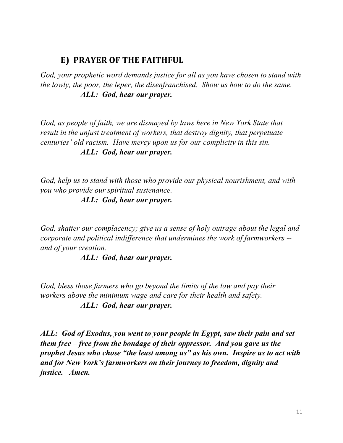### **E) PRAYER OF THE FAITHFUL**

*God, your prophetic word demands justice for all as you have chosen to stand with the lowly, the poor, the leper, the disenfranchised. Show us how to do the same. ALL: God, hear our prayer.*

*God, as people of faith, we are dismayed by laws here in New York State that result in the unjust treatment of workers, that destroy dignity, that perpetuate centuries' old racism. Have mercy upon us for our complicity in this sin. ALL: God, hear our prayer.*

*God, help us to stand with those who provide our physical nourishment, and with you who provide our spiritual sustenance.*

*ALL: God, hear our prayer.*

*God, shatter our complacency; give us a sense of holy outrage about the legal and corporate and political indifference that undermines the work of farmworkers - and of your creation.*

*ALL: God, hear our prayer.*

*God, bless those farmers who go beyond the limits of the law and pay their workers above the minimum wage and care for their health and safety. ALL: God, hear our prayer.*

*ALL: God of Exodus, you went to your people in Egypt, saw their pain and set them free – free from the bondage of their oppressor. And you gave us the prophet Jesus who chose "the least among us" as his own. Inspire us to act with and for New York's farmworkers on their journey to freedom, dignity and justice. Amen.*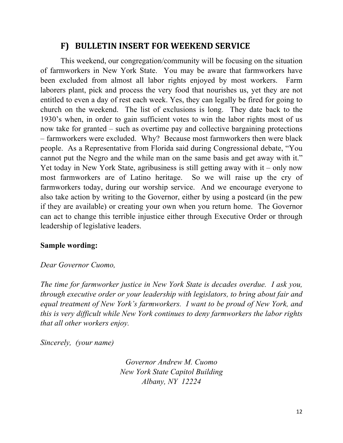### F) BULLETIN INSERT FOR WEEKEND SERVICE

This weekend, our congregation/community will be focusing on the situation of farmworkers in New York State. You may be aware that farmworkers have been excluded from almost all labor rights enjoyed by most workers. Farm laborers plant, pick and process the very food that nourishes us, yet they are not entitled to even a day of rest each week. Yes, they can legally be fired for going to church on the weekend. The list of exclusions is long. They date back to the 1930's when, in order to gain sufficient votes to win the labor rights most of us now take for granted – such as overtime pay and collective bargaining protections – farmworkers were excluded. Why? Because most farmworkers then were black people. As a Representative from Florida said during Congressional debate, "You cannot put the Negro and the while man on the same basis and get away with it." Yet today in New York State, agribusiness is still getting away with it – only now most farmworkers are of Latino heritage. So we will raise up the cry of farmworkers today, during our worship service. And we encourage everyone to also take action by writing to the Governor, either by using a postcard (in the pew if they are available) or creating your own when you return home. The Governor can act to change this terrible injustice either through Executive Order or through leadership of legislative leaders.

#### **Sample wording:**

#### *Dear Governor Cuomo,*

*The time for farmworker justice in New York State is decades overdue. I ask you, through executive order or your leadership with legislators, to bring about fair and equal treatment of New York's farmworkers. I want to be proud of New York, and this is very difficult while New York continues to deny farmworkers the labor rights that all other workers enjoy.* 

*Sincerely, (your name)*

*Governor Andrew M. Cuomo New York State Capitol Building Albany, NY 12224*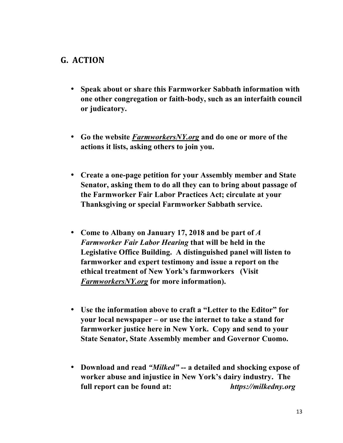### **G. ACTION**

- **Speak about or share this Farmworker Sabbath information with one other congregation or faith-body, such as an interfaith council or judicatory.**
- **Go the website** *FarmworkersNY.org* **and do one or more of the actions it lists, asking others to join you.**
- **Create a one-page petition for your Assembly member and State Senator, asking them to do all they can to bring about passage of the Farmworker Fair Labor Practices Act; circulate at your Thanksgiving or special Farmworker Sabbath service.**
- **Come to Albany on January 17, 2018 and be part of** *A Farmworker Fair Labor Hearing* **that will be held in the Legislative Office Building. A distinguished panel will listen to farmworker and expert testimony and issue a report on the ethical treatment of New York's farmworkers (Visit**  *FarmworkersNY.org* **for more information).**
- **Use the information above to craft a "Letter to the Editor" for your local newspaper – or use the internet to take a stand for farmworker justice here in New York. Copy and send to your State Senator, State Assembly member and Governor Cuomo.**
- **Download and read** *"Milked" --* **a detailed and shocking expose of worker abuse and injustice in New York's dairy industry. The full report can be found at:** *https://milkedny.org*